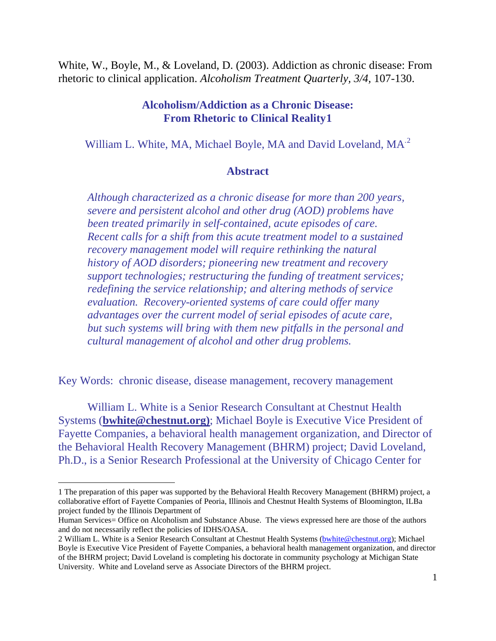White, W., Boyle, M., & Loveland, D. (2003). Addiction as chronic disease: From rhetoric to clinical application. *Alcoholism Treatment Quarterly, 3/4,* 107-130.

# **Alcoholism/Addiction as a Chronic Disease: From Rhetoric to Clinical Reality[1](#page-0-0)**

William L. White, MA, Michael Boyle, MA and David Loveland, MA<sup>[2](#page-0-1)</sup>

#### **Abstract**

*Although characterized as a chronic disease for more than 200 years, severe and persistent alcohol and other drug (AOD) problems have been treated primarily in self-contained, acute episodes of care. Recent calls for a shift from this acute treatment model to a sustained recovery management model will require rethinking the natural history of AOD disorders; pioneering new treatment and recovery support technologies; restructuring the funding of treatment services; redefining the service relationship; and altering methods of service evaluation. Recovery-oriented systems of care could offer many advantages over the current model of serial episodes of acute care, but such systems will bring with them new pitfalls in the personal and cultural management of alcohol and other drug problems.* 

Key Words: chronic disease, disease management, recovery management

 $\overline{a}$ 

William L. White is a Senior Research Consultant at Chestnut Health Systems (**bwhite@chestnut.org)**; Michael Boyle is Executive Vice President of Fayette Companies, a behavioral health management organization, and Director of the Behavioral Health Recovery Management (BHRM) project; David Loveland, Ph.D., is a Senior Research Professional at the University of Chicago Center for

<span id="page-0-0"></span><sup>1</sup> The preparation of this paper was supported by the Behavioral Health Recovery Management (BHRM) project, a collaborative effort of Fayette Companies of Peoria, Illinois and Chestnut Health Systems of Bloomington, ILBa project funded by the Illinois Department of

Human Services= Office on Alcoholism and Substance Abuse. The views expressed here are those of the authors and do not necessarily reflect the policies of IDHS/OASA.

<span id="page-0-1"></span><sup>2</sup> William L. White is a Senior Research Consultant at Chestnut Health Systems [\(bwhite@chestnut.org](mailto:bwhite@chestnut.org)); Michael Boyle is Executive Vice President of Fayette Companies, a behavioral health management organization, and director of the BHRM project; David Loveland is completing his doctorate in community psychology at Michigan State University. White and Loveland serve as Associate Directors of the BHRM project.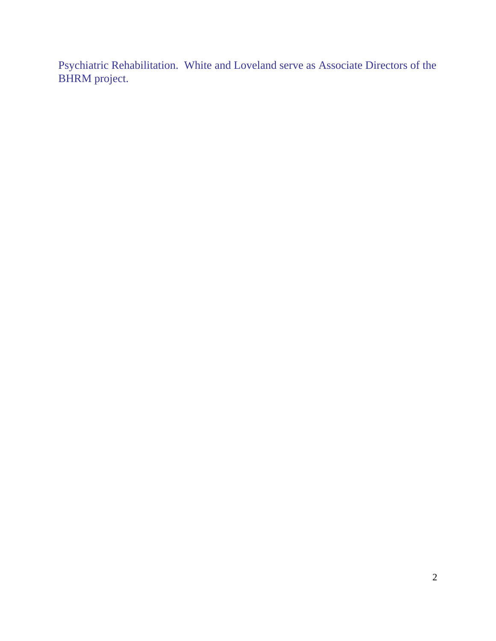Psychiatric Rehabilitation. White and Loveland serve as Associate Directors of the BHRM project.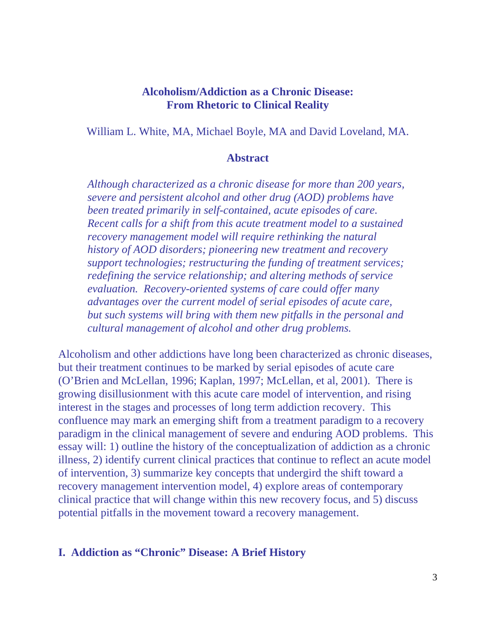# **Alcoholism/Addiction as a Chronic Disease: From Rhetoric to Clinical Reality**

William L. White, MA, Michael Boyle, MA and David Loveland, MA.

#### **Abstract**

*Although characterized as a chronic disease for more than 200 years, severe and persistent alcohol and other drug (AOD) problems have been treated primarily in self-contained, acute episodes of care. Recent calls for a shift from this acute treatment model to a sustained recovery management model will require rethinking the natural history of AOD disorders; pioneering new treatment and recovery support technologies; restructuring the funding of treatment services; redefining the service relationship; and altering methods of service evaluation. Recovery-oriented systems of care could offer many advantages over the current model of serial episodes of acute care, but such systems will bring with them new pitfalls in the personal and cultural management of alcohol and other drug problems.* 

Alcoholism and other addictions have long been characterized as chronic diseases, but their treatment continues to be marked by serial episodes of acute care (O'Brien and McLellan, 1996; Kaplan, 1997; McLellan, et al, 2001). There is growing disillusionment with this acute care model of intervention, and rising interest in the stages and processes of long term addiction recovery. This confluence may mark an emerging shift from a treatment paradigm to a recovery paradigm in the clinical management of severe and enduring AOD problems. This essay will: 1) outline the history of the conceptualization of addiction as a chronic illness, 2) identify current clinical practices that continue to reflect an acute model of intervention, 3) summarize key concepts that undergird the shift toward a recovery management intervention model, 4) explore areas of contemporary clinical practice that will change within this new recovery focus, and 5) discuss potential pitfalls in the movement toward a recovery management.

### **I. Addiction as "Chronic" Disease: A Brief History**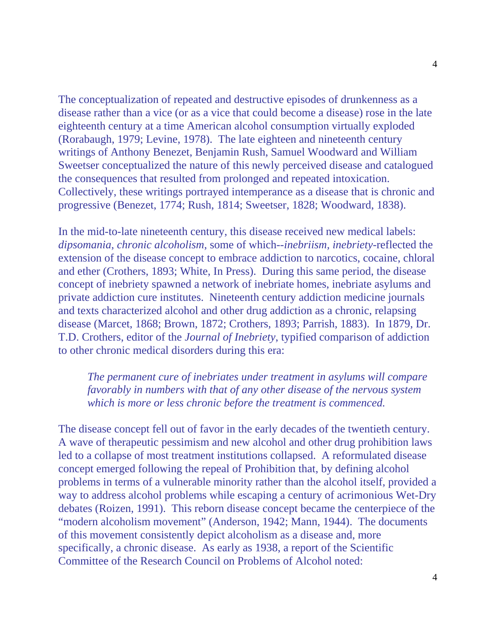The conceptualization of repeated and destructive episodes of drunkenness as a disease rather than a vice (or as a vice that could become a disease) rose in the late eighteenth century at a time American alcohol consumption virtually exploded (Rorabaugh, 1979; Levine, 1978). The late eighteen and nineteenth century writings of Anthony Benezet, Benjamin Rush, Samuel Woodward and William Sweetser conceptualized the nature of this newly perceived disease and catalogued the consequences that resulted from prolonged and repeated intoxication. Collectively, these writings portrayed intemperance as a disease that is chronic and progressive (Benezet, 1774; Rush, 1814; Sweetser, 1828; Woodward, 1838).

In the mid-to-late nineteenth century, this disease received new medical labels: *dipsomania*, *chronic alcoholism*, some of which--*inebriism, inebriety*-reflected the extension of the disease concept to embrace addiction to narcotics, cocaine, chloral and ether (Crothers, 1893; White, In Press). During this same period, the disease concept of inebriety spawned a network of inebriate homes, inebriate asylums and private addiction cure institutes. Nineteenth century addiction medicine journals and texts characterized alcohol and other drug addiction as a chronic, relapsing disease (Marcet, 1868; Brown, 1872; Crothers, 1893; Parrish, 1883). In 1879, Dr. T.D. Crothers, editor of the *Journal of Inebriety*, typified comparison of addiction to other chronic medical disorders during this era:

*The permanent cure of inebriates under treatment in asylums will compare favorably in numbers with that of any other disease of the nervous system which is more or less chronic before the treatment is commenced.*

The disease concept fell out of favor in the early decades of the twentieth century. A wave of therapeutic pessimism and new alcohol and other drug prohibition laws led to a collapse of most treatment institutions collapsed. A reformulated disease concept emerged following the repeal of Prohibition that, by defining alcohol problems in terms of a vulnerable minority rather than the alcohol itself, provided a way to address alcohol problems while escaping a century of acrimonious Wet-Dry debates (Roizen, 1991). This reborn disease concept became the centerpiece of the "modern alcoholism movement" (Anderson, 1942; Mann, 1944). The documents of this movement consistently depict alcoholism as a disease and, more specifically, a chronic disease. As early as 1938, a report of the Scientific Committee of the Research Council on Problems of Alcohol noted: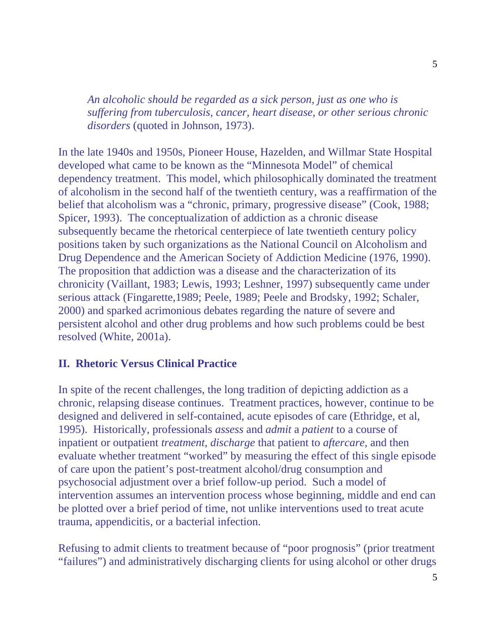*An alcoholic should be regarded as a sick person, just as one who is suffering from tuberculosis, cancer, heart disease, or other serious chronic disorders* (quoted in Johnson, 1973).

In the late 1940s and 1950s, Pioneer House, Hazelden, and Willmar State Hospital developed what came to be known as the "Minnesota Model" of chemical dependency treatment. This model, which philosophically dominated the treatment of alcoholism in the second half of the twentieth century, was a reaffirmation of the belief that alcoholism was a "chronic, primary, progressive disease" (Cook, 1988; Spicer, 1993). The conceptualization of addiction as a chronic disease subsequently became the rhetorical centerpiece of late twentieth century policy positions taken by such organizations as the National Council on Alcoholism and Drug Dependence and the American Society of Addiction Medicine (1976, 1990). The proposition that addiction was a disease and the characterization of its chronicity (Vaillant, 1983; Lewis, 1993; Leshner, 1997) subsequently came under serious attack (Fingarette,1989; Peele, 1989; Peele and Brodsky, 1992; Schaler, 2000) and sparked acrimonious debates regarding the nature of severe and persistent alcohol and other drug problems and how such problems could be best resolved (White, 2001a).

# **II. Rhetoric Versus Clinical Practice**

In spite of the recent challenges, the long tradition of depicting addiction as a chronic, relapsing disease continues. Treatment practices, however, continue to be designed and delivered in self-contained, acute episodes of care (Ethridge, et al, 1995). Historically, professionals *assess* and *admit* a *patient* to a course of inpatient or outpatient *treatment*, *discharge* that patient to *aftercare*, and then evaluate whether treatment "worked" by measuring the effect of this single episode of care upon the patient's post-treatment alcohol/drug consumption and psychosocial adjustment over a brief follow-up period. Such a model of intervention assumes an intervention process whose beginning, middle and end can be plotted over a brief period of time, not unlike interventions used to treat acute trauma, appendicitis, or a bacterial infection.

Refusing to admit clients to treatment because of "poor prognosis" (prior treatment "failures") and administratively discharging clients for using alcohol or other drugs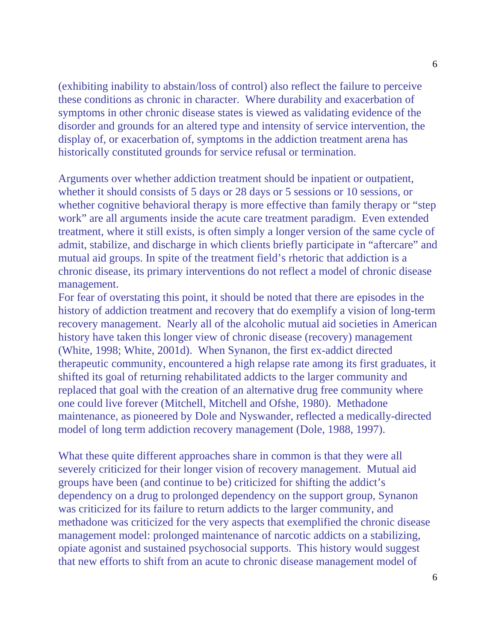(exhibiting inability to abstain/loss of control) also reflect the failure to perceive these conditions as chronic in character. Where durability and exacerbation of symptoms in other chronic disease states is viewed as validating evidence of the disorder and grounds for an altered type and intensity of service intervention, the display of, or exacerbation of, symptoms in the addiction treatment arena has historically constituted grounds for service refusal or termination.

Arguments over whether addiction treatment should be inpatient or outpatient, whether it should consists of 5 days or 28 days or 5 sessions or 10 sessions, or whether cognitive behavioral therapy is more effective than family therapy or "step work" are all arguments inside the acute care treatment paradigm. Even extended treatment, where it still exists, is often simply a longer version of the same cycle of admit, stabilize, and discharge in which clients briefly participate in "aftercare" and mutual aid groups. In spite of the treatment field's rhetoric that addiction is a chronic disease, its primary interventions do not reflect a model of chronic disease management.

For fear of overstating this point, it should be noted that there are episodes in the history of addiction treatment and recovery that do exemplify a vision of long-term recovery management. Nearly all of the alcoholic mutual aid societies in American history have taken this longer view of chronic disease (recovery) management (White, 1998; White, 2001d). When Synanon, the first ex-addict directed therapeutic community, encountered a high relapse rate among its first graduates, it shifted its goal of returning rehabilitated addicts to the larger community and replaced that goal with the creation of an alternative drug free community where one could live forever (Mitchell, Mitchell and Ofshe, 1980). Methadone maintenance, as pioneered by Dole and Nyswander, reflected a medically-directed model of long term addiction recovery management (Dole, 1988, 1997).

What these quite different approaches share in common is that they were all severely criticized for their longer vision of recovery management. Mutual aid groups have been (and continue to be) criticized for shifting the addict's dependency on a drug to prolonged dependency on the support group, Synanon was criticized for its failure to return addicts to the larger community, and methadone was criticized for the very aspects that exemplified the chronic disease management model: prolonged maintenance of narcotic addicts on a stabilizing, opiate agonist and sustained psychosocial supports. This history would suggest that new efforts to shift from an acute to chronic disease management model of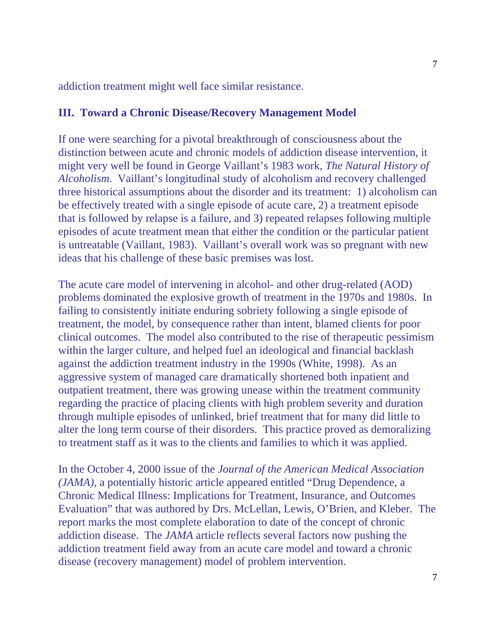addiction treatment might well face similar resistance.

# **III. Toward a Chronic Disease/Recovery Management Model**

If one were searching for a pivotal breakthrough of consciousness about the distinction between acute and chronic models of addiction disease intervention, it might very well be found in George Vaillant's 1983 work, *The Natural History of Alcoholism*. Vaillant's longitudinal study of alcoholism and recovery challenged three historical assumptions about the disorder and its treatment: 1) alcoholism can be effectively treated with a single episode of acute care, 2) a treatment episode that is followed by relapse is a failure, and 3) repeated relapses following multiple episodes of acute treatment mean that either the condition or the particular patient is untreatable (Vaillant, 1983). Vaillant's overall work was so pregnant with new ideas that his challenge of these basic premises was lost.

The acute care model of intervening in alcohol- and other drug-related (AOD) problems dominated the explosive growth of treatment in the 1970s and 1980s. In failing to consistently initiate enduring sobriety following a single episode of treatment, the model, by consequence rather than intent, blamed clients for poor clinical outcomes. The model also contributed to the rise of therapeutic pessimism within the larger culture, and helped fuel an ideological and financial backlash against the addiction treatment industry in the 1990s (White, 1998). As an aggressive system of managed care dramatically shortened both inpatient and outpatient treatment, there was growing unease within the treatment community regarding the practice of placing clients with high problem severity and duration through multiple episodes of unlinked, brief treatment that for many did little to alter the long term course of their disorders. This practice proved as demoralizing to treatment staff as it was to the clients and families to which it was applied.

In the October 4, 2000 issue of the *Journal of the American Medical Association (JAMA)*, a potentially historic article appeared entitled "Drug Dependence, a Chronic Medical Illness: Implications for Treatment, Insurance, and Outcomes Evaluation" that was authored by Drs. McLellan, Lewis, O'Brien, and Kleber. The report marks the most complete elaboration to date of the concept of chronic addiction disease. The *JAMA* article reflects several factors now pushing the addiction treatment field away from an acute care model and toward a chronic disease (recovery management) model of problem intervention.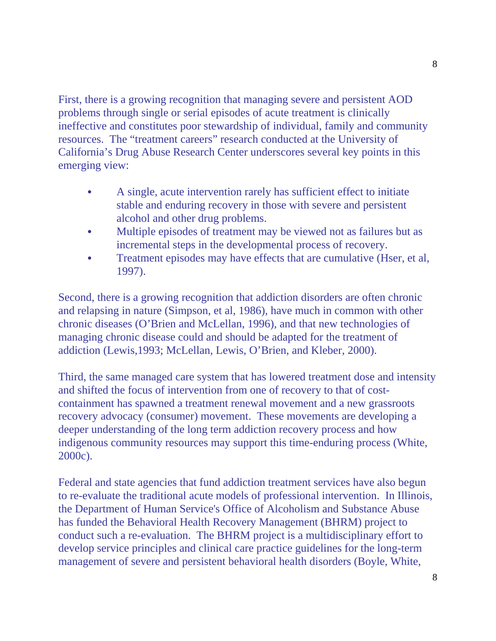First, there is a growing recognition that managing severe and persistent AOD problems through single or serial episodes of acute treatment is clinically ineffective and constitutes poor stewardship of individual, family and community resources. The "treatment careers" research conducted at the University of California's Drug Abuse Research Center underscores several key points in this emerging view:

- A single, acute intervention rarely has sufficient effect to initiate stable and enduring recovery in those with severe and persistent alcohol and other drug problems.
- Multiple episodes of treatment may be viewed not as failures but as incremental steps in the developmental process of recovery.
- Treatment episodes may have effects that are cumulative (Hser, et al, 1997).

Second, there is a growing recognition that addiction disorders are often chronic and relapsing in nature (Simpson, et al, 1986), have much in common with other chronic diseases (O'Brien and McLellan, 1996), and that new technologies of managing chronic disease could and should be adapted for the treatment of addiction (Lewis,1993; McLellan, Lewis, O'Brien, and Kleber, 2000).

Third, the same managed care system that has lowered treatment dose and intensity and shifted the focus of intervention from one of recovery to that of costcontainment has spawned a treatment renewal movement and a new grassroots recovery advocacy (consumer) movement. These movements are developing a deeper understanding of the long term addiction recovery process and how indigenous community resources may support this time-enduring process (White, 2000c).

Federal and state agencies that fund addiction treatment services have also begun to re-evaluate the traditional acute models of professional intervention. In Illinois, the Department of Human Service's Office of Alcoholism and Substance Abuse has funded the Behavioral Health Recovery Management (BHRM) project to conduct such a re-evaluation. The BHRM project is a multidisciplinary effort to develop service principles and clinical care practice guidelines for the long-term management of severe and persistent behavioral health disorders (Boyle, White,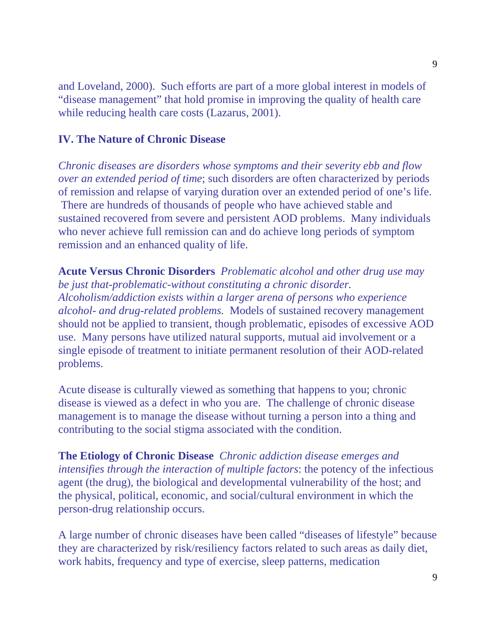and Loveland, 2000). Such efforts are part of a more global interest in models of "disease management" that hold promise in improving the quality of health care while reducing health care costs (Lazarus, 2001).

# **IV. The Nature of Chronic Disease**

*Chronic diseases are disorders whose symptoms and their severity ebb and flow over an extended period of time*; such disorders are often characterized by periods of remission and relapse of varying duration over an extended period of one's life. There are hundreds of thousands of people who have achieved stable and sustained recovered from severe and persistent AOD problems. Many individuals who never achieve full remission can and do achieve long periods of symptom remission and an enhanced quality of life.

**Acute Versus Chronic Disorders** *Problematic alcohol and other drug use may be just that-problematic-without constituting a chronic disorder. Alcoholism/addiction exists within a larger arena of persons who experience alcohol- and drug-related problems.* Models of sustained recovery management should not be applied to transient, though problematic, episodes of excessive AOD use. Many persons have utilized natural supports, mutual aid involvement or a single episode of treatment to initiate permanent resolution of their AOD-related problems.

Acute disease is culturally viewed as something that happens to you; chronic disease is viewed as a defect in who you are. The challenge of chronic disease management is to manage the disease without turning a person into a thing and contributing to the social stigma associated with the condition.

**The Etiology of Chronic Disease** *Chronic addiction disease emerges and intensifies through the interaction of multiple factors*: the potency of the infectious agent (the drug), the biological and developmental vulnerability of the host; and the physical, political, economic, and social/cultural environment in which the person-drug relationship occurs.

A large number of chronic diseases have been called "diseases of lifestyle" because they are characterized by risk/resiliency factors related to such areas as daily diet, work habits, frequency and type of exercise, sleep patterns, medication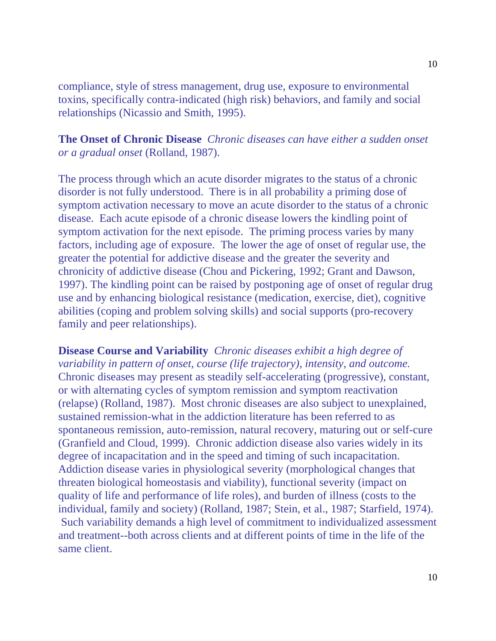compliance, style of stress management, drug use, exposure to environmental toxins, specifically contra-indicated (high risk) behaviors, and family and social relationships (Nicassio and Smith, 1995).

**The Onset of Chronic Disease** *Chronic diseases can have either a sudden onset or a gradual onset* (Rolland, 1987).

The process through which an acute disorder migrates to the status of a chronic disorder is not fully understood. There is in all probability a priming dose of symptom activation necessary to move an acute disorder to the status of a chronic disease. Each acute episode of a chronic disease lowers the kindling point of symptom activation for the next episode. The priming process varies by many factors, including age of exposure. The lower the age of onset of regular use, the greater the potential for addictive disease and the greater the severity and chronicity of addictive disease (Chou and Pickering, 1992; Grant and Dawson, 1997). The kindling point can be raised by postponing age of onset of regular drug use and by enhancing biological resistance (medication, exercise, diet), cognitive abilities (coping and problem solving skills) and social supports (pro-recovery family and peer relationships).

**Disease Course and Variability** *Chronic diseases exhibit a high degree of variability in pattern of onset, course (life trajectory), intensity, and outcome.* Chronic diseases may present as steadily self-accelerating (progressive), constant, or with alternating cycles of symptom remission and symptom reactivation (relapse) (Rolland, 1987). Most chronic diseases are also subject to unexplained, sustained remission*-*what in the addiction literature has been referred to as spontaneous remission, auto-remission, natural recovery, maturing out or self-cure (Granfield and Cloud, 1999). Chronic addiction disease also varies widely in its degree of incapacitation and in the speed and timing of such incapacitation. Addiction disease varies in physiological severity (morphological changes that threaten biological homeostasis and viability), functional severity (impact on quality of life and performance of life roles), and burden of illness (costs to the individual, family and society) (Rolland, 1987; Stein, et al., 1987; Starfield, 1974). Such variability demands a high level of commitment to individualized assessment and treatment--both across clients and at different points of time in the life of the same client.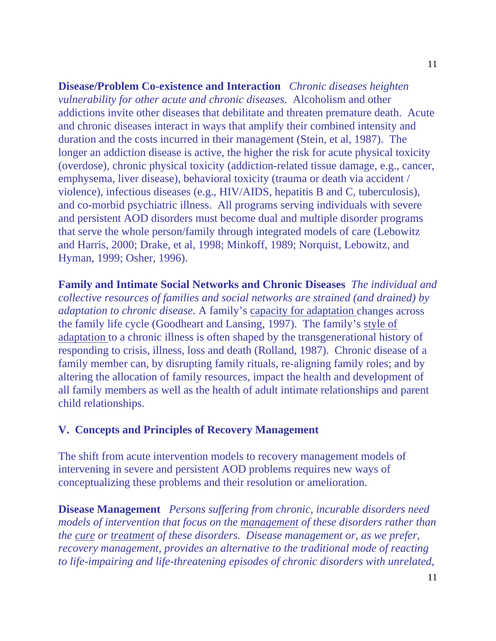**Disease/Problem Co-existence and Interaction** *Chronic diseases heighten vulnerability for other acute and chronic diseases.* Alcoholism and other addictions invite other diseases that debilitate and threaten premature death. Acute and chronic diseases interact in ways that amplify their combined intensity and duration and the costs incurred in their management (Stein, et al, 1987). The longer an addiction disease is active, the higher the risk for acute physical toxicity (overdose), chronic physical toxicity (addiction-related tissue damage, e.g., cancer, emphysema, liver disease), behavioral toxicity (trauma or death via accident / violence), infectious diseases (e.g., HIV/AIDS, hepatitis B and C, tuberculosis), and co-morbid psychiatric illness. All programs serving individuals with severe and persistent AOD disorders must become dual and multiple disorder programs that serve the whole person/family through integrated models of care (Lebowitz and Harris, 2000; Drake, et al, 1998; Minkoff, 1989; Norquist, Lebowitz, and Hyman, 1999; Osher, 1996).

**Family and Intimate Social Networks and Chronic Diseases** *The individual and collective resources of families and social networks are strained (and drained) by adaptation to chronic disease.* A family's capacity for adaptation changes across the family life cycle (Goodheart and Lansing, 1997). The family's style of adaptation to a chronic illness is often shaped by the transgenerational history of responding to crisis, illness, loss and death (Rolland, 1987). Chronic disease of a family member can, by disrupting family rituals, re-aligning family roles; and by altering the allocation of family resources, impact the health and development of all family members as well as the health of adult intimate relationships and parent child relationships.

## **V. Concepts and Principles of Recovery Management**

The shift from acute intervention models to recovery management models of intervening in severe and persistent AOD problems requires new ways of conceptualizing these problems and their resolution or amelioration.

**Disease Management** *Persons suffering from chronic, incurable disorders need models of intervention that focus on the management of these disorders rather than the cure or treatment of these disorders. Disease management or, as we prefer, recovery management, provides an alternative to the traditional mode of reacting to life-impairing and life-threatening episodes of chronic disorders with unrelated,*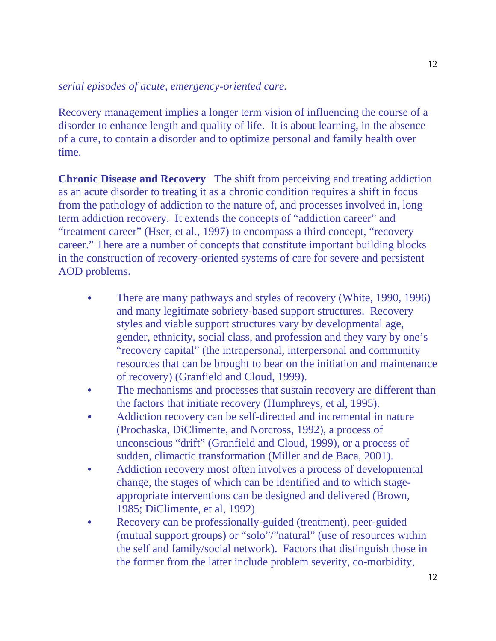# *serial episodes of acute, emergency-oriented care.*

Recovery management implies a longer term vision of influencing the course of a disorder to enhance length and quality of life. It is about learning, in the absence of a cure, to contain a disorder and to optimize personal and family health over time.

**Chronic Disease and Recovery** The shift from perceiving and treating addiction as an acute disorder to treating it as a chronic condition requires a shift in focus from the pathology of addiction to the nature of, and processes involved in, long term addiction recovery. It extends the concepts of "addiction career" and "treatment career" (Hser, et al., 1997) to encompass a third concept, "recovery career." There are a number of concepts that constitute important building blocks in the construction of recovery-oriented systems of care for severe and persistent AOD problems.

- There are many pathways and styles of recovery (White, 1990, 1996) and many legitimate sobriety-based support structures. Recovery styles and viable support structures vary by developmental age, gender, ethnicity, social class, and profession and they vary by one's "recovery capital" (the intrapersonal, interpersonal and community resources that can be brought to bear on the initiation and maintenance of recovery) (Granfield and Cloud, 1999).
- The mechanisms and processes that sustain recovery are different than the factors that initiate recovery (Humphreys, et al, 1995).
- Addiction recovery can be self-directed and incremental in nature (Prochaska, DiClimente, and Norcross, 1992), a process of unconscious "drift" (Granfield and Cloud, 1999), or a process of sudden, climactic transformation (Miller and de Baca, 2001).
- Addiction recovery most often involves a process of developmental change, the stages of which can be identified and to which stageappropriate interventions can be designed and delivered (Brown, 1985; DiClimente, et al, 1992)
- Recovery can be professionally-guided (treatment), peer-guided (mutual support groups) or "solo"/"natural" (use of resources within the self and family/social network). Factors that distinguish those in the former from the latter include problem severity, co-morbidity,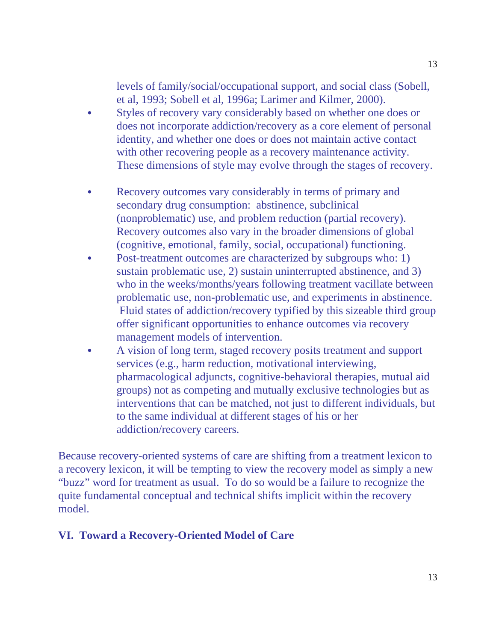levels of family/social/occupational support, and social class (Sobell, et al, 1993; Sobell et al, 1996a; Larimer and Kilmer, 2000).

- Styles of recovery vary considerably based on whether one does or does not incorporate addiction/recovery as a core element of personal identity, and whether one does or does not maintain active contact with other recovering people as a recovery maintenance activity. These dimensions of style may evolve through the stages of recovery.
- Recovery outcomes vary considerably in terms of primary and secondary drug consumption: abstinence, subclinical (nonproblematic) use, and problem reduction (partial recovery). Recovery outcomes also vary in the broader dimensions of global (cognitive, emotional, family, social, occupational) functioning.
- Post-treatment outcomes are characterized by subgroups who: 1) sustain problematic use, 2) sustain uninterrupted abstinence, and 3) who in the weeks/months/years following treatment vacillate between problematic use, non-problematic use, and experiments in abstinence. Fluid states of addiction/recovery typified by this sizeable third group offer significant opportunities to enhance outcomes via recovery management models of intervention.
- A vision of long term, staged recovery posits treatment and support services (e.g., harm reduction, motivational interviewing, pharmacological adjuncts, cognitive-behavioral therapies, mutual aid groups) not as competing and mutually exclusive technologies but as interventions that can be matched, not just to different individuals, but to the same individual at different stages of his or her addiction/recovery careers.

Because recovery-oriented systems of care are shifting from a treatment lexicon to a recovery lexicon, it will be tempting to view the recovery model as simply a new "buzz" word for treatment as usual. To do so would be a failure to recognize the quite fundamental conceptual and technical shifts implicit within the recovery model.

# **VI. Toward a Recovery-Oriented Model of Care**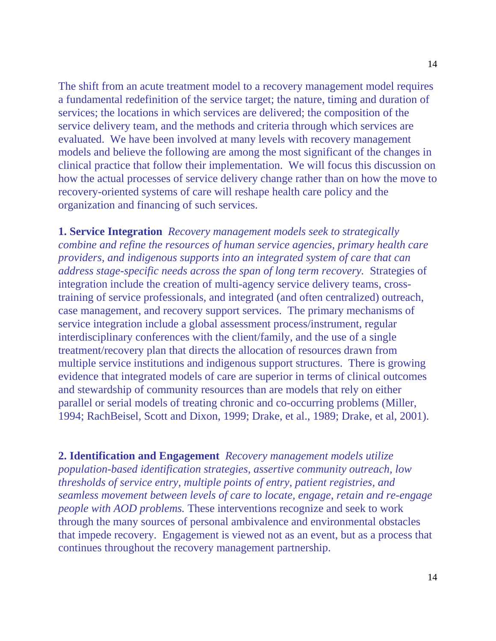The shift from an acute treatment model to a recovery management model requires a fundamental redefinition of the service target; the nature, timing and duration of services; the locations in which services are delivered; the composition of the service delivery team, and the methods and criteria through which services are evaluated. We have been involved at many levels with recovery management models and believe the following are among the most significant of the changes in clinical practice that follow their implementation. We will focus this discussion on how the actual processes of service delivery change rather than on how the move to recovery-oriented systems of care will reshape health care policy and the organization and financing of such services.

**1. Service Integration** *Recovery management models seek to strategically combine and refine the resources of human service agencies, primary health care providers, and indigenous supports into an integrated system of care that can address stage-specific needs across the span of long term recovery.* Strategies of integration include the creation of multi-agency service delivery teams, crosstraining of service professionals, and integrated (and often centralized) outreach, case management, and recovery support services. The primary mechanisms of service integration include a global assessment process/instrument, regular interdisciplinary conferences with the client/family, and the use of a single treatment/recovery plan that directs the allocation of resources drawn from multiple service institutions and indigenous support structures. There is growing evidence that integrated models of care are superior in terms of clinical outcomes and stewardship of community resources than are models that rely on either parallel or serial models of treating chronic and co-occurring problems (Miller, 1994; RachBeisel, Scott and Dixon, 1999; Drake, et al., 1989; Drake, et al, 2001).

**2. Identification and Engagement** *Recovery management models utilize population-based identification strategies, assertive community outreach, low thresholds of service entry, multiple points of entry, patient registries, and seamless movement between levels of care to locate, engage, retain and re-engage people with AOD problems.* These interventions recognize and seek to work through the many sources of personal ambivalence and environmental obstacles that impede recovery. Engagement is viewed not as an event, but as a process that continues throughout the recovery management partnership.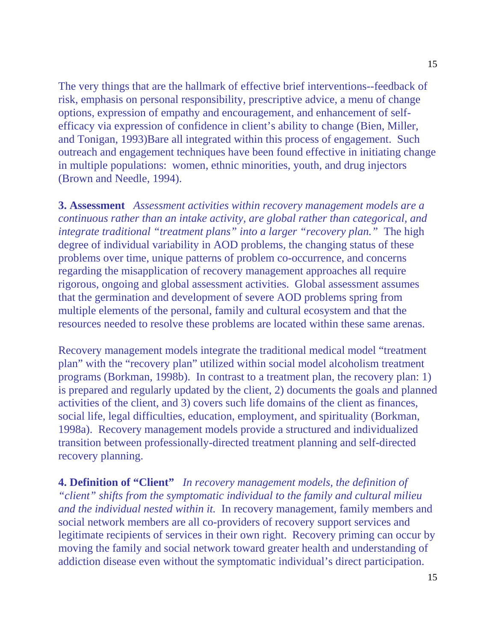The very things that are the hallmark of effective brief interventions--feedback of risk, emphasis on personal responsibility, prescriptive advice, a menu of change options, expression of empathy and encouragement, and enhancement of selfefficacy via expression of confidence in client's ability to change (Bien, Miller, and Tonigan, 1993)Bare all integrated within this process of engagement. Such outreach and engagement techniques have been found effective in initiating change in multiple populations: women, ethnic minorities, youth, and drug injectors (Brown and Needle, 1994).

**3. Assessment** *Assessment activities within recovery management models are a continuous rather than an intake activity, are global rather than categorical, and integrate traditional "treatment plans" into a larger "recovery plan."* The high degree of individual variability in AOD problems, the changing status of these problems over time, unique patterns of problem co-occurrence, and concerns regarding the misapplication of recovery management approaches all require rigorous, ongoing and global assessment activities. Global assessment assumes that the germination and development of severe AOD problems spring from multiple elements of the personal, family and cultural ecosystem and that the resources needed to resolve these problems are located within these same arenas.

Recovery management models integrate the traditional medical model "treatment plan" with the "recovery plan" utilized within social model alcoholism treatment programs (Borkman, 1998b). In contrast to a treatment plan, the recovery plan: 1) is prepared and regularly updated by the client, 2) documents the goals and planned activities of the client, and 3) covers such life domains of the client as finances, social life, legal difficulties, education, employment, and spirituality (Borkman, 1998a). Recovery management models provide a structured and individualized transition between professionally-directed treatment planning and self-directed recovery planning.

**4. Definition of "Client"** *In recovery management models, the definition of "client" shifts from the symptomatic individual to the family and cultural milieu and the individual nested within it.* In recovery management, family members and social network members are all co-providers of recovery support services and legitimate recipients of services in their own right. Recovery priming can occur by moving the family and social network toward greater health and understanding of addiction disease even without the symptomatic individual's direct participation.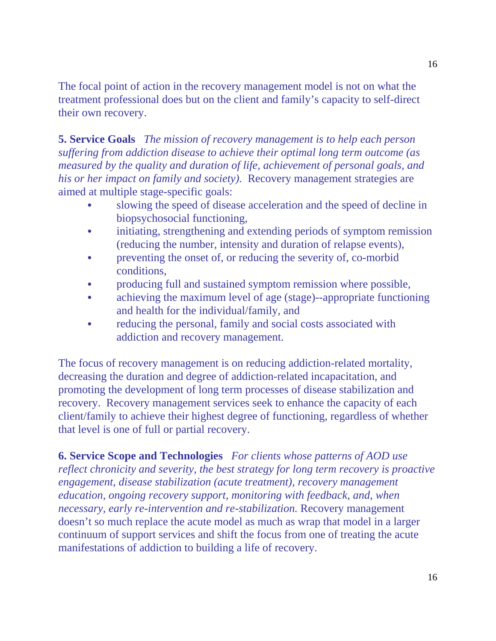The focal point of action in the recovery management model is not on what the treatment professional does but on the client and family's capacity to self-direct their own recovery.

**5. Service Goals** *The mission of recovery management is to help each person suffering from addiction disease to achieve their optimal long term outcome (as measured by the quality and duration of life, achievement of personal goals, and his or her impact on family and society).* Recovery management strategies are aimed at multiple stage-specific goals:

- I slowing the speed of disease acceleration and the speed of decline in biopsychosocial functioning,
- initiating, strengthening and extending periods of symptom remission (reducing the number, intensity and duration of relapse events),
- preventing the onset of, or reducing the severity of, co-morbid conditions,
- producing full and sustained symptom remission where possible,
- achieving the maximum level of age (stage)--appropriate functioning and health for the individual/family, and
- reducing the personal, family and social costs associated with addiction and recovery management.

The focus of recovery management is on reducing addiction-related mortality, decreasing the duration and degree of addiction-related incapacitation, and promoting the development of long term processes of disease stabilization and recovery. Recovery management services seek to enhance the capacity of each client/family to achieve their highest degree of functioning, regardless of whether that level is one of full or partial recovery.

**6. Service Scope and Technologies** *For clients whose patterns of AOD use reflect chronicity and severity, the best strategy for long term recovery is proactive engagement, disease stabilization (acute treatment), recovery management education, ongoing recovery support, monitoring with feedback, and, when necessary, early re-intervention and re-stabilization.* Recovery management doesn't so much replace the acute model as much as wrap that model in a larger continuum of support services and shift the focus from one of treating the acute manifestations of addiction to building a life of recovery.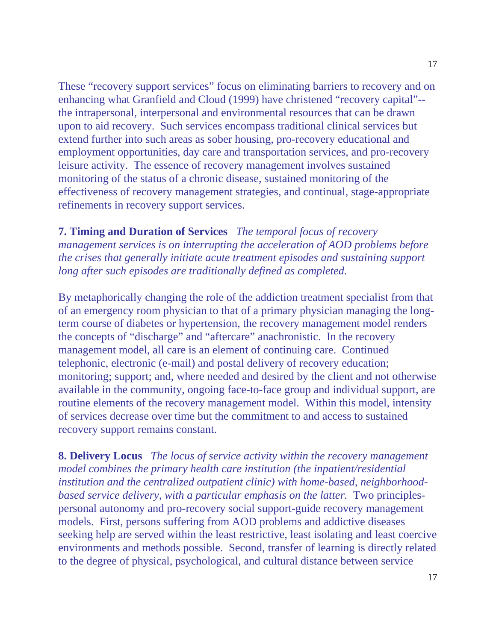These "recovery support services" focus on eliminating barriers to recovery and on enhancing what Granfield and Cloud (1999) have christened "recovery capital"- the intrapersonal, interpersonal and environmental resources that can be drawn upon to aid recovery. Such services encompass traditional clinical services but extend further into such areas as sober housing, pro-recovery educational and employment opportunities, day care and transportation services, and pro-recovery leisure activity. The essence of recovery management involves sustained monitoring of the status of a chronic disease, sustained monitoring of the effectiveness of recovery management strategies, and continual, stage-appropriate refinements in recovery support services.

**7. Timing and Duration of Services** *The temporal focus of recovery management services is on interrupting the acceleration of AOD problems before the crises that generally initiate acute treatment episodes and sustaining support long after such episodes are traditionally defined as completed.* 

By metaphorically changing the role of the addiction treatment specialist from that of an emergency room physician to that of a primary physician managing the longterm course of diabetes or hypertension, the recovery management model renders the concepts of "discharge" and "aftercare" anachronistic. In the recovery management model, all care is an element of continuing care. Continued telephonic, electronic (e-mail) and postal delivery of recovery education; monitoring; support; and, where needed and desired by the client and not otherwise available in the community, ongoing face-to-face group and individual support, are routine elements of the recovery management model. Within this model, intensity of services decrease over time but the commitment to and access to sustained recovery support remains constant.

**8. Delivery Locus** *The locus of service activity within the recovery management model combines the primary health care institution (the inpatient/residential institution and the centralized outpatient clinic) with home-based, neighborhoodbased service delivery, with a particular emphasis on the latter.* Two principlespersonal autonomy and pro-recovery social support-guide recovery management models. First, persons suffering from AOD problems and addictive diseases seeking help are served within the least restrictive, least isolating and least coercive environments and methods possible. Second, transfer of learning is directly related to the degree of physical, psychological, and cultural distance between service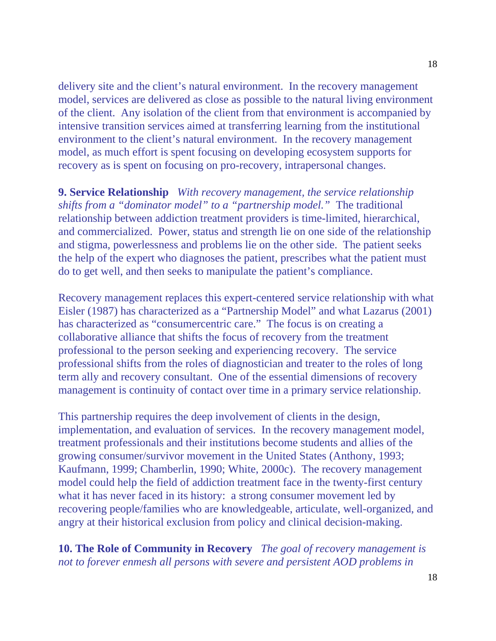delivery site and the client's natural environment. In the recovery management model, services are delivered as close as possible to the natural living environment of the client. Any isolation of the client from that environment is accompanied by intensive transition services aimed at transferring learning from the institutional environment to the client's natural environment. In the recovery management model, as much effort is spent focusing on developing ecosystem supports for recovery as is spent on focusing on pro-recovery, intrapersonal changes.

**9. Service Relationship** *With recovery management, the service relationship shifts from a "dominator model" to a "partnership model."* The traditional relationship between addiction treatment providers is time-limited, hierarchical, and commercialized. Power, status and strength lie on one side of the relationship and stigma, powerlessness and problems lie on the other side. The patient seeks the help of the expert who diagnoses the patient, prescribes what the patient must do to get well, and then seeks to manipulate the patient's compliance.

Recovery management replaces this expert-centered service relationship with what Eisler (1987) has characterized as a "Partnership Model" and what Lazarus (2001) has characterized as "consumercentric care." The focus is on creating a collaborative alliance that shifts the focus of recovery from the treatment professional to the person seeking and experiencing recovery. The service professional shifts from the roles of diagnostician and treater to the roles of long term ally and recovery consultant. One of the essential dimensions of recovery management is continuity of contact over time in a primary service relationship.

This partnership requires the deep involvement of clients in the design, implementation, and evaluation of services. In the recovery management model, treatment professionals and their institutions become students and allies of the growing consumer/survivor movement in the United States (Anthony, 1993; Kaufmann, 1999; Chamberlin, 1990; White, 2000c). The recovery management model could help the field of addiction treatment face in the twenty-first century what it has never faced in its history: a strong consumer movement led by recovering people/families who are knowledgeable, articulate, well-organized, and angry at their historical exclusion from policy and clinical decision-making.

**10. The Role of Community in Recovery** *The goal of recovery management is not to forever enmesh all persons with severe and persistent AOD problems in*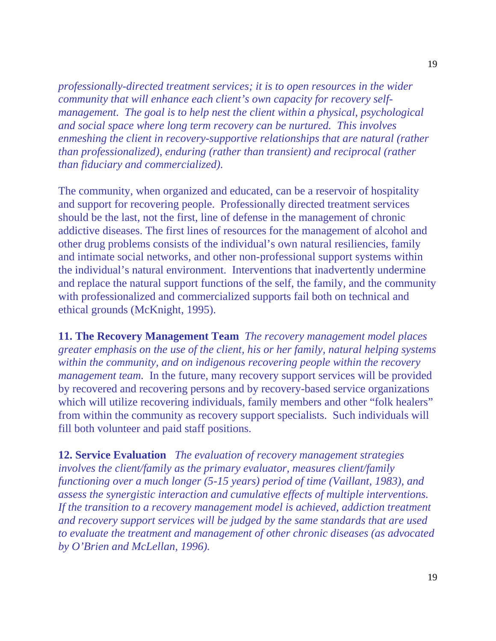*professionally-directed treatment services; it is to open resources in the wider community that will enhance each client's own capacity for recovery selfmanagement. The goal is to help nest the client within a physical, psychological and social space where long term recovery can be nurtured. This involves enmeshing the client in recovery-supportive relationships that are natural (rather than professionalized), enduring (rather than transient) and reciprocal (rather than fiduciary and commercialized).* 

The community, when organized and educated, can be a reservoir of hospitality and support for recovering people. Professionally directed treatment services should be the last, not the first, line of defense in the management of chronic addictive diseases. The first lines of resources for the management of alcohol and other drug problems consists of the individual's own natural resiliencies, family and intimate social networks, and other non-professional support systems within the individual's natural environment. Interventions that inadvertently undermine and replace the natural support functions of the self, the family, and the community with professionalized and commercialized supports fail both on technical and ethical grounds (McKnight, 1995).

**11. The Recovery Management Team** *The recovery management model places greater emphasis on the use of the client, his or her family, natural helping systems within the community, and on indigenous recovering people within the recovery management team.* In the future, many recovery support services will be provided by recovered and recovering persons and by recovery-based service organizations which will utilize recovering individuals, family members and other "folk healers" from within the community as recovery support specialists. Such individuals will fill both volunteer and paid staff positions.

**12. Service Evaluation** *The evaluation of recovery management strategies involves the client/family as the primary evaluator, measures client/family functioning over a much longer (5-15 years) period of time (Vaillant, 1983), and assess the synergistic interaction and cumulative effects of multiple interventions. If the transition to a recovery management model is achieved, addiction treatment and recovery support services will be judged by the same standards that are used to evaluate the treatment and management of other chronic diseases (as advocated by O'Brien and McLellan, 1996).*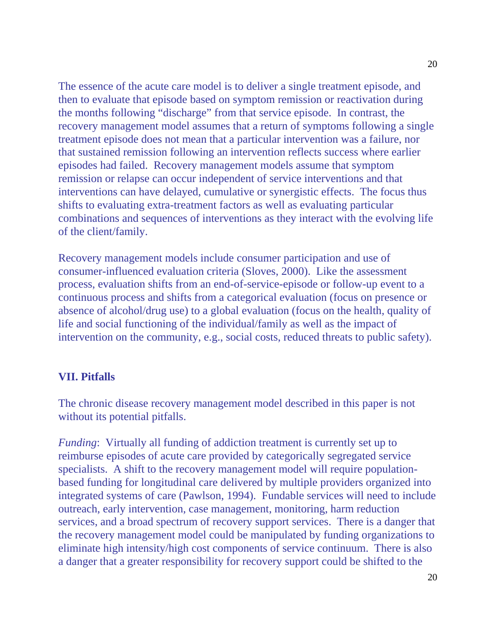The essence of the acute care model is to deliver a single treatment episode, and then to evaluate that episode based on symptom remission or reactivation during the months following "discharge" from that service episode. In contrast, the recovery management model assumes that a return of symptoms following a single treatment episode does not mean that a particular intervention was a failure, nor that sustained remission following an intervention reflects success where earlier episodes had failed. Recovery management models assume that symptom remission or relapse can occur independent of service interventions and that interventions can have delayed, cumulative or synergistic effects. The focus thus shifts to evaluating extra-treatment factors as well as evaluating particular combinations and sequences of interventions as they interact with the evolving life of the client/family.

Recovery management models include consumer participation and use of consumer-influenced evaluation criteria (Sloves, 2000). Like the assessment process, evaluation shifts from an end-of-service-episode or follow-up event to a continuous process and shifts from a categorical evaluation (focus on presence or absence of alcohol/drug use) to a global evaluation (focus on the health, quality of life and social functioning of the individual/family as well as the impact of intervention on the community, e.g., social costs, reduced threats to public safety).

## **VII. Pitfalls**

The chronic disease recovery management model described in this paper is not without its potential pitfalls.

*Funding*: Virtually all funding of addiction treatment is currently set up to reimburse episodes of acute care provided by categorically segregated service specialists. A shift to the recovery management model will require populationbased funding for longitudinal care delivered by multiple providers organized into integrated systems of care (Pawlson, 1994). Fundable services will need to include outreach, early intervention, case management, monitoring, harm reduction services, and a broad spectrum of recovery support services. There is a danger that the recovery management model could be manipulated by funding organizations to eliminate high intensity/high cost components of service continuum. There is also a danger that a greater responsibility for recovery support could be shifted to the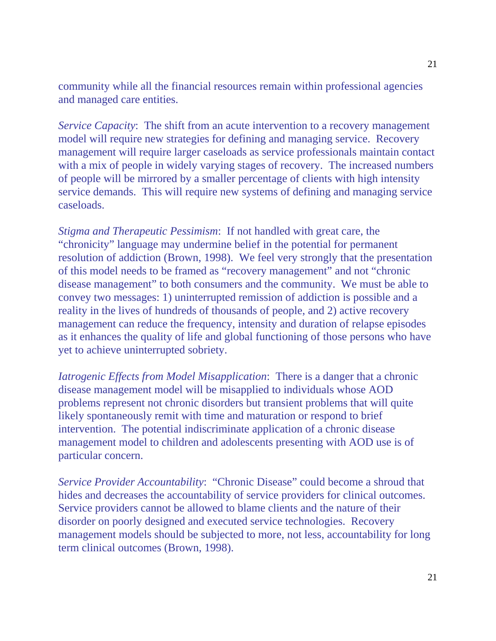community while all the financial resources remain within professional agencies and managed care entities.

*Service Capacity*: The shift from an acute intervention to a recovery management model will require new strategies for defining and managing service. Recovery management will require larger caseloads as service professionals maintain contact with a mix of people in widely varying stages of recovery. The increased numbers of people will be mirrored by a smaller percentage of clients with high intensity service demands. This will require new systems of defining and managing service caseloads.

*Stigma and Therapeutic Pessimism*: If not handled with great care, the "chronicity" language may undermine belief in the potential for permanent resolution of addiction (Brown, 1998). We feel very strongly that the presentation of this model needs to be framed as "recovery management" and not "chronic disease management" to both consumers and the community. We must be able to convey two messages: 1) uninterrupted remission of addiction is possible and a reality in the lives of hundreds of thousands of people, and 2) active recovery management can reduce the frequency, intensity and duration of relapse episodes as it enhances the quality of life and global functioning of those persons who have yet to achieve uninterrupted sobriety.

*Iatrogenic Effects from Model Misapplication*: There is a danger that a chronic disease management model will be misapplied to individuals whose AOD problems represent not chronic disorders but transient problems that will quite likely spontaneously remit with time and maturation or respond to brief intervention. The potential indiscriminate application of a chronic disease management model to children and adolescents presenting with AOD use is of particular concern.

*Service Provider Accountability*: "Chronic Disease" could become a shroud that hides and decreases the accountability of service providers for clinical outcomes. Service providers cannot be allowed to blame clients and the nature of their disorder on poorly designed and executed service technologies. Recovery management models should be subjected to more, not less, accountability for long term clinical outcomes (Brown, 1998).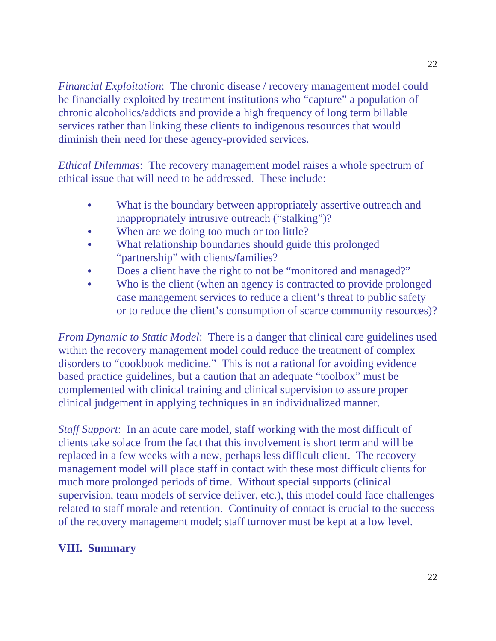*Financial Exploitation*: The chronic disease / recovery management model could be financially exploited by treatment institutions who "capture" a population of chronic alcoholics/addicts and provide a high frequency of long term billable services rather than linking these clients to indigenous resources that would diminish their need for these agency-provided services.

*Ethical Dilemmas*: The recovery management model raises a whole spectrum of ethical issue that will need to be addressed. These include:

- What is the boundary between appropriately assertive outreach and inappropriately intrusive outreach ("stalking")?
- When are we doing too much or too little?
- What relationship boundaries should guide this prolonged "partnership" with clients/families?
- Does a client have the right to not be "monitored and managed?"
- Who is the client (when an agency is contracted to provide prolonged case management services to reduce a client's threat to public safety or to reduce the client's consumption of scarce community resources)?

*From Dynamic to Static Model*: There is a danger that clinical care guidelines used within the recovery management model could reduce the treatment of complex disorders to "cookbook medicine." This is not a rational for avoiding evidence based practice guidelines, but a caution that an adequate "toolbox" must be complemented with clinical training and clinical supervision to assure proper clinical judgement in applying techniques in an individualized manner.

*Staff Support*: In an acute care model, staff working with the most difficult of clients take solace from the fact that this involvement is short term and will be replaced in a few weeks with a new, perhaps less difficult client. The recovery management model will place staff in contact with these most difficult clients for much more prolonged periods of time. Without special supports (clinical supervision, team models of service deliver, etc.), this model could face challenges related to staff morale and retention. Continuity of contact is crucial to the success of the recovery management model; staff turnover must be kept at a low level.

# **VIII. Summary**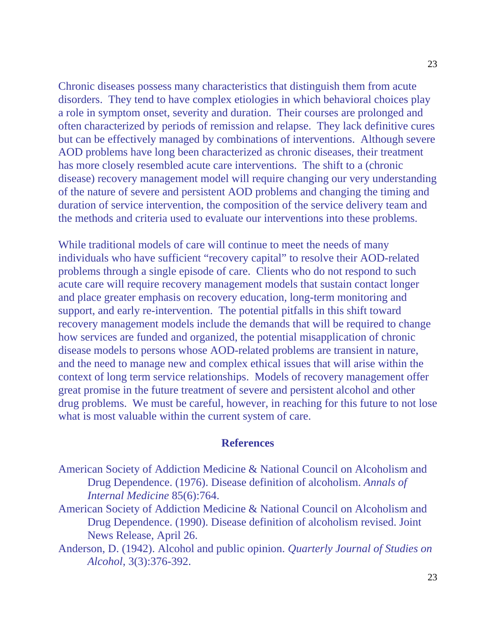Chronic diseases possess many characteristics that distinguish them from acute disorders. They tend to have complex etiologies in which behavioral choices play a role in symptom onset, severity and duration. Their courses are prolonged and often characterized by periods of remission and relapse. They lack definitive cures but can be effectively managed by combinations of interventions. Although severe AOD problems have long been characterized as chronic diseases, their treatment has more closely resembled acute care interventions. The shift to a (chronic disease) recovery management model will require changing our very understanding of the nature of severe and persistent AOD problems and changing the timing and duration of service intervention, the composition of the service delivery team and the methods and criteria used to evaluate our interventions into these problems.

While traditional models of care will continue to meet the needs of many individuals who have sufficient "recovery capital" to resolve their AOD-related problems through a single episode of care. Clients who do not respond to such acute care will require recovery management models that sustain contact longer and place greater emphasis on recovery education, long-term monitoring and support, and early re-intervention. The potential pitfalls in this shift toward recovery management models include the demands that will be required to change how services are funded and organized, the potential misapplication of chronic disease models to persons whose AOD-related problems are transient in nature, and the need to manage new and complex ethical issues that will arise within the context of long term service relationships. Models of recovery management offer great promise in the future treatment of severe and persistent alcohol and other drug problems. We must be careful, however, in reaching for this future to not lose what is most valuable within the current system of care.

#### **References**

- American Society of Addiction Medicine & National Council on Alcoholism and Drug Dependence. (1976). Disease definition of alcoholism. *Annals of Internal Medicine* 85(6):764.
- American Society of Addiction Medicine & National Council on Alcoholism and Drug Dependence. (1990). Disease definition of alcoholism revised. Joint News Release, April 26.

Anderson, D. (1942). Alcohol and public opinion. *Quarterly Journal of Studies on Alcohol*, 3(3):376-392.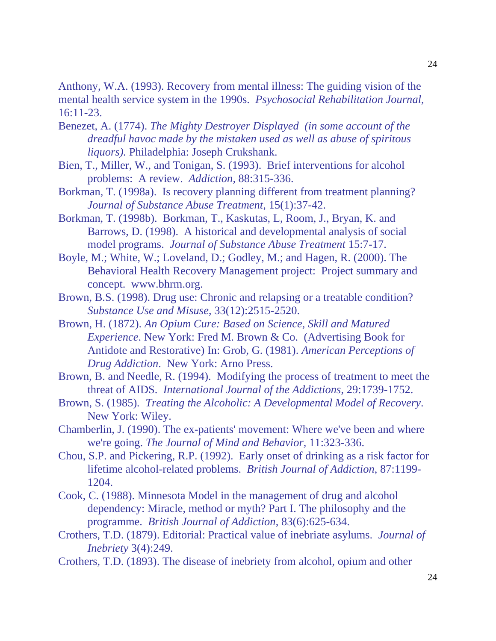Anthony, W.A. (1993). Recovery from mental illness: The guiding vision of the mental health service system in the 1990s. *Psychosocial Rehabilitation Journal*, 16:11-23.

- Benezet, A. (1774). *The Mighty Destroyer Displayed (in some account of the dreadful havoc made by the mistaken used as well as abuse of spiritous liquors).* Philadelphia: Joseph Crukshank.
- Bien, T., Miller, W., and Tonigan, S. (1993). Brief interventions for alcohol problems: A review. *Addiction,* 88:315-336.
- Borkman, T. (1998a). Is recovery planning different from treatment planning? *Journal of Substance Abuse Treatment,* 15(1):37-42.
- Borkman, T. (1998b). Borkman, T., Kaskutas, L, Room, J., Bryan, K. and Barrows, D. (1998). A historical and developmental analysis of social model programs. *Journal of Substance Abuse Treatment* 15:7-17.
- Boyle, M.; White, W.; Loveland, D.; Godley, M.; and Hagen, R. (2000). The Behavioral Health Recovery Management project: Project summary and concept. www.bhrm.org.
- Brown, B.S. (1998). Drug use: Chronic and relapsing or a treatable condition? *Substance Use and Misuse*, 33(12):2515-2520.
- Brown, H. (1872). *An Opium Cure: Based on Science, Skill and Matured Experience*. New York: Fred M. Brown & Co. (Advertising Book for Antidote and Restorative) In: Grob, G. (1981). *American Perceptions of Drug Addiction*. New York: Arno Press.
- Brown, B. and Needle, R. (1994). Modifying the process of treatment to meet the threat of AIDS. *International Journal of the Addictions*, 29:1739-1752.
- Brown, S. (1985)*. Treating the Alcoholic: A Developmental Model of Recovery*. New York: Wiley.
- Chamberlin, J. (1990). The ex-patients' movement: Where we've been and where we're going. *The Journal of Mind and Behavior,* 11:323-336.
- Chou, S.P. and Pickering, R.P. (1992). Early onset of drinking as a risk factor for lifetime alcohol-related problems. *British Journal of Addiction*, 87:1199- 1204.
- Cook, C. (1988). Minnesota Model in the management of drug and alcohol dependency: Miracle, method or myth? Part I. The philosophy and the programme. *British Journal of Addiction*, 83(6):625-634.
- Crothers, T.D. (1879). Editorial: Practical value of inebriate asylums. *Journal of Inebriety* 3(4):249.
- Crothers, T.D. (1893). The disease of inebriety from alcohol, opium and other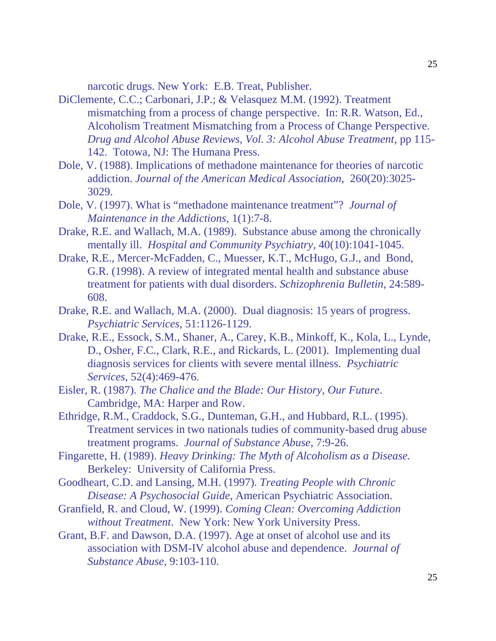narcotic drugs. New York: E.B. Treat, Publisher.

- DiClemente, C.C.; Carbonari, J.P.; & Velasquez M.M. (1992). Treatment mismatching from a process of change perspective. In: R.R. Watson, Ed., Alcoholism Treatment Mismatching from a Process of Change Perspective. *Drug and Alcohol Abuse Reviews, Vol. 3: Alcohol Abuse Treatment*, pp 115- 142. Totowa, NJ: The Humana Press.
- Dole, V. (1988). Implications of methadone maintenance for theories of narcotic addiction. *Journal of the American Medical Association*, 260(20):3025- 3029.
- Dole, V. (1997). What is "methadone maintenance treatment"? *Journal of Maintenance in the Addictions*, 1(1):7-8.
- Drake, R.E. and Wallach, M.A. (1989). Substance abuse among the chronically mentally ill. *Hospital and Community Psychiatry,* 40(10):1041-1045.
- Drake, R.E., Mercer-McFadden, C., Muesser, K.T., McHugo, G.J., and Bond, G.R. (1998). A review of integrated mental health and substance abuse treatment for patients with dual disorders. *Schizophrenia Bulletin*, 24:589- 608.
- Drake, R.E. and Wallach, M.A. (2000). Dual diagnosis: 15 years of progress. *Psychiatric Services*, 51:1126-1129.
- Drake, R.E., Essock, S.M., Shaner, A., Carey, K.B., Minkoff, K., Kola, L., Lynde, D., Osher, F.C., Clark, R.E., and Rickards, L. (2001). Implementing dual diagnosis services for clients with severe mental illness. *Psychiatric Services*, 52(4):469-476.
- Eisler, R. (1987)*. The Chalice and the Blade: Our History, Our Future*. Cambridge, MA: Harper and Row.
- Ethridge, R.M., Craddock, S.G., Dunteman, G.H., and Hubbard, R.L. (1995). Treatment services in two nationals tudies of community-based drug abuse treatment programs. *Journal of Substance Abuse*, 7:9-26.
- Fingarette, H. (1989). *Heavy Drinking: The Myth of Alcoholism as a Disease.* Berkeley: University of California Press.
- Goodheart, C.D. and Lansing, M.H. (1997). *Treating People with Chronic Disease: A Psychosocial Guide*, American Psychiatric Association.
- Granfield, R. and Cloud, W. (1999). *Coming Clean: Overcoming Addiction without Treatment*. New York: New York University Press.
- Grant, B.F. and Dawson, D.A. (1997). Age at onset of alcohol use and its association with DSM-IV alcohol abuse and dependence. *Journal of Substance Abuse*, 9:103-110.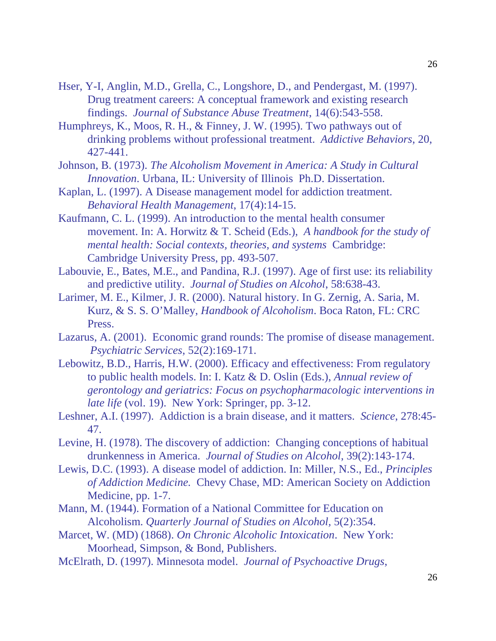- Hser, Y-I, Anglin, M.D., Grella, C., Longshore, D., and Pendergast, M. (1997). Drug treatment careers: A conceptual framework and existing research findings. *Journal of Substance Abuse Treatment*, 14(6):543-558.
- Humphreys, K., Moos, R. H., & Finney, J. W. (1995). Two pathways out of drinking problems without professional treatment. *Addictive Behaviors*, 20, 427-441.

Johnson, B. (1973). *The Alcoholism Movement in America: A Study in Cultural Innovation*. Urbana, IL: University of Illinois Ph.D. Dissertation.

- Kaplan, L. (1997). A Disease management model for addiction treatment. *Behavioral Health Management*, 17(4):14-15.
- Kaufmann, C. L. (1999). An introduction to the mental health consumer movement. In: A. Horwitz & T. Scheid (Eds.), *A handbook for the study of mental health: Social contexts, theories, and systems* Cambridge: Cambridge University Press, pp. 493-507.
- Labouvie, E., Bates, M.E., and Pandina, R.J. (1997). Age of first use: its reliability and predictive utility. *Journal of Studies on Alcohol*, 58:638-43.
- Larimer, M. E., Kilmer, J. R. (2000). Natural history. In G. Zernig, A. Saria, M. Kurz, & S. S. O'Malley, *Handbook of Alcoholism*. Boca Raton, FL: CRC Press.
- Lazarus, A. (2001). Economic grand rounds: The promise of disease management. *Psychiatric Services*, 52(2):169-171.
- Lebowitz, B.D., Harris, H.W. (2000). Efficacy and effectiveness: From regulatory to public health models. In: I. Katz & D. Oslin (Eds.), *Annual review of gerontology and geriatrics: Focus on psychopharmacologic interventions in late life* (vol. 19). New York: Springer, pp. 3-12.
- Leshner, A.I. (1997). Addiction is a brain disease, and it matters. *Science*, 278:45- 47.
- Levine, H. (1978). The discovery of addiction: Changing conceptions of habitual drunkenness in America. *Journal of Studies on Alcohol*, 39(2):143-174.
- Lewis, D.C. (1993). A disease model of addiction. In: Miller, N.S., Ed., *Principles of Addiction Medicine.* Chevy Chase, MD: American Society on Addiction Medicine, pp. 1-7.
- Mann, M. (1944). Formation of a National Committee for Education on Alcoholism. *Quarterly Journal of Studies on Alcohol,* 5(2):354.
- Marcet, W. (MD) (1868). *On Chronic Alcoholic Intoxication*. New York: Moorhead, Simpson, & Bond, Publishers.
- McElrath, D. (1997). Minnesota model. *Journal of Psychoactive Drugs*,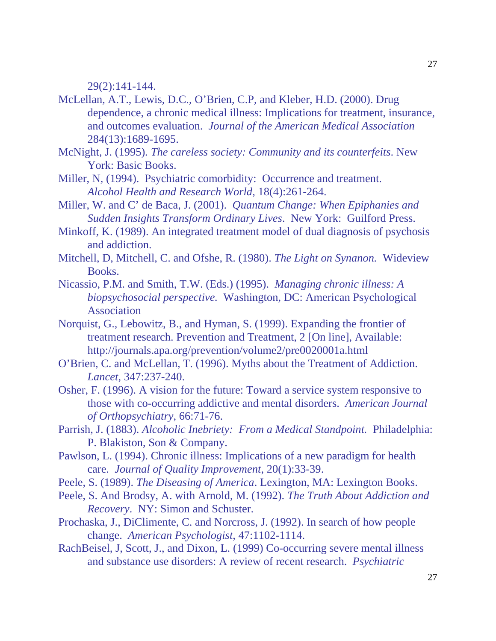29(2):141-144.

- McLellan, A.T., Lewis, D.C., O'Brien, C.P, and Kleber, H.D. (2000). Drug dependence, a chronic medical illness: Implications for treatment, insurance, and outcomes evaluation. *Journal of the American Medical Association* 284(13):1689-1695.
- McNight, J. (1995)*. The careless society: Community and its counterfeits*. New York: Basic Books.
- Miller, N, (1994). Psychiatric comorbidity: Occurrence and treatment. *Alcohol Health and Research World*, 18(4):261-264.
- Miller, W. and C' de Baca, J. (2001). *Quantum Change: When Epiphanies and Sudden Insights Transform Ordinary Lives*. New York: Guilford Press.
- Minkoff, K. (1989). An integrated treatment model of dual diagnosis of psychosis and addiction.
- Mitchell, D, Mitchell, C. and Ofshe, R. (1980). *The Light on Synanon.* Wideview Books.
- Nicassio, P.M. and Smith, T.W. (Eds.) (1995). *Managing chronic illness: A biopsychosocial perspective.* Washington, DC: American Psychological Association
- Norquist, G., Lebowitz, B., and Hyman, S. (1999). Expanding the frontier of treatment research. Prevention and Treatment, 2 [On line], Available: http://journals.apa.org/prevention/volume2/pre0020001a.html
- O'Brien, C. and McLellan, T. (1996). Myths about the Treatment of Addiction. *Lancet*, 347:237-240.
- Osher, F. (1996). A vision for the future: Toward a service system responsive to those with co-occurring addictive and mental disorders. *American Journal of Orthopsychiatry*, 66:71-76.
- Parrish, J. (1883). *Alcoholic Inebriety: From a Medical Standpoint.* Philadelphia: P. Blakiston, Son & Company.
- Pawlson, L. (1994). Chronic illness: Implications of a new paradigm for health care. *Journal of Quality Improvement*, 20(1):33-39.
- Peele, S. (1989). *The Diseasing of America*. Lexington, MA: Lexington Books.
- Peele, S. And Brodsy, A. with Arnold, M. (1992). *The Truth About Addiction and Recovery*. NY: Simon and Schuster.
- Prochaska, J., DiClimente, C. and Norcross, J. (1992). In search of how people change. *American Psychologist*, 47:1102-1114.
- RachBeisel, J, Scott, J., and Dixon, L. (1999) Co-occurring severe mental illness and substance use disorders: A review of recent research. *Psychiatric*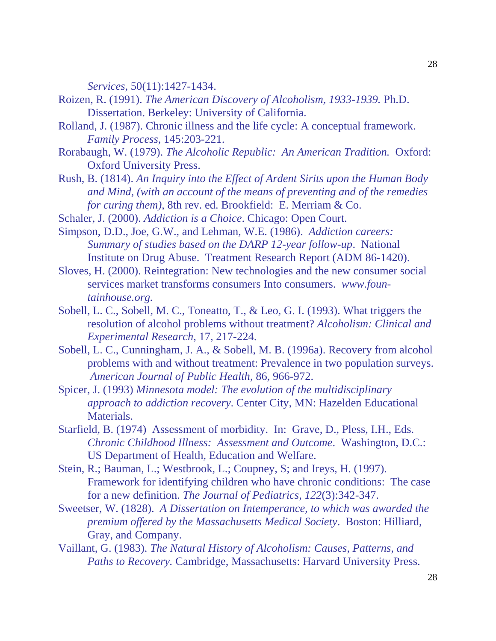*Services*, 50(11):1427-1434.

- Roizen, R. (1991). *The American Discovery of Alcoholism, 1933-1939.* Ph.D. Dissertation. Berkeley: University of California.
- Rolland, J. (1987). Chronic illness and the life cycle: A conceptual framework. *Family Process*, 145:203-221.
- Rorabaugh, W. (1979). *The Alcoholic Republic: An American Tradition.* Oxford: Oxford University Press.
- Rush, B. (1814). *An Inquiry into the Effect of Ardent Sirits upon the Human Body and Mind, (with an account of the means of preventing and of the remedies for curing them)*, 8th rev. ed. Brookfield: E. Merriam & Co.
- Schaler, J. (2000). *Addiction is a Choice*. Chicago: Open Court.
- Simpson, D.D., Joe, G.W., and Lehman, W.E. (1986). *Addiction careers: Summary of studies based on the DARP 12-year follow-up*. National Institute on Drug Abuse. Treatment Research Report (ADM 86-1420).
- Sloves, H. (2000). Reintegration: New technologies and the new consumer social services market transforms consumers Into consumers. *www.fountainhouse.org.*
- Sobell, L. C., Sobell, M. C., Toneatto, T., & Leo, G. I. (1993). What triggers the resolution of alcohol problems without treatment? *Alcoholism: Clinical and Experimental Research*, 17, 217-224.
- Sobell, L. C., Cunningham, J. A., & Sobell, M. B. (1996a). Recovery from alcohol problems with and without treatment: Prevalence in two population surveys. *American Journal of Public Health*, 86, 966-972.
- Spicer, J. (1993) *Minnesota model: The evolution of the multidisciplinary approach to addiction recovery*. Center City, MN: Hazelden Educational Materials.
- Starfield, B. (1974) Assessment of morbidity. In: Grave, D., Pless, I.H., Eds. *Chronic Childhood Illness: Assessment and Outcome*. Washington, D.C.: US Department of Health, Education and Welfare.
- Stein, R.; Bauman, L.; Westbrook, L.; Coupney, S; and Ireys, H. (1997). Framework for identifying children who have chronic conditions: The case for a new definition. *The Journal of Pediatrics, 122*(3):342-347.
- Sweetser, W. (1828). *A Dissertation on Intemperance*, *to which was awarded the premium offered by the Massachusetts Medical Society*. Boston: Hilliard, Gray, and Company.
- Vaillant, G. (1983). *The Natural History of Alcoholism: Causes, Patterns, and Paths to Recovery.* Cambridge, Massachusetts: Harvard University Press.